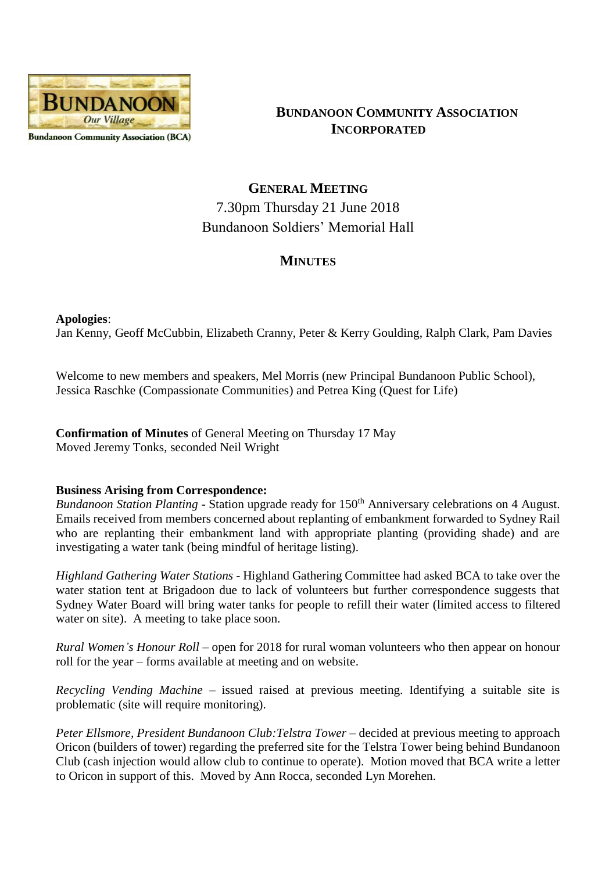

**BUNDANOON COMMUNITY ASSOCIATION INCORPORATED**

# **GENERAL MEETING** 7.30pm Thursday 21 June 2018 Bundanoon Soldiers' Memorial Hall

## **MINUTES**

## **Apologies**:

Jan Kenny, Geoff McCubbin, Elizabeth Cranny, Peter & Kerry Goulding, Ralph Clark, Pam Davies

Welcome to new members and speakers, Mel Morris (new Principal Bundanoon Public School), Jessica Raschke (Compassionate Communities) and Petrea King (Quest for Life)

**Confirmation of Minutes** of General Meeting on Thursday 17 May Moved Jeremy Tonks, seconded Neil Wright

### **Business Arising from Correspondence:**

*Bundanoon Station Planting* - Station upgrade ready for 150<sup>th</sup> Anniversary celebrations on 4 August. Emails received from members concerned about replanting of embankment forwarded to Sydney Rail who are replanting their embankment land with appropriate planting (providing shade) and are investigating a water tank (being mindful of heritage listing).

*Highland Gathering Water Stations* - Highland Gathering Committee had asked BCA to take over the water station tent at Brigadoon due to lack of volunteers but further correspondence suggests that Sydney Water Board will bring water tanks for people to refill their water (limited access to filtered water on site). A meeting to take place soon.

*Rural Women's Honour Roll* – open for 2018 for rural woman volunteers who then appear on honour roll for the year – forms available at meeting and on website.

*Recycling Vending Machine* – issued raised at previous meeting. Identifying a suitable site is problematic (site will require monitoring).

*Peter Ellsmore, President Bundanoon Club:Telstra Tower* – decided at previous meeting to approach Oricon (builders of tower) regarding the preferred site for the Telstra Tower being behind Bundanoon Club (cash injection would allow club to continue to operate). Motion moved that BCA write a letter to Oricon in support of this. Moved by Ann Rocca, seconded Lyn Morehen.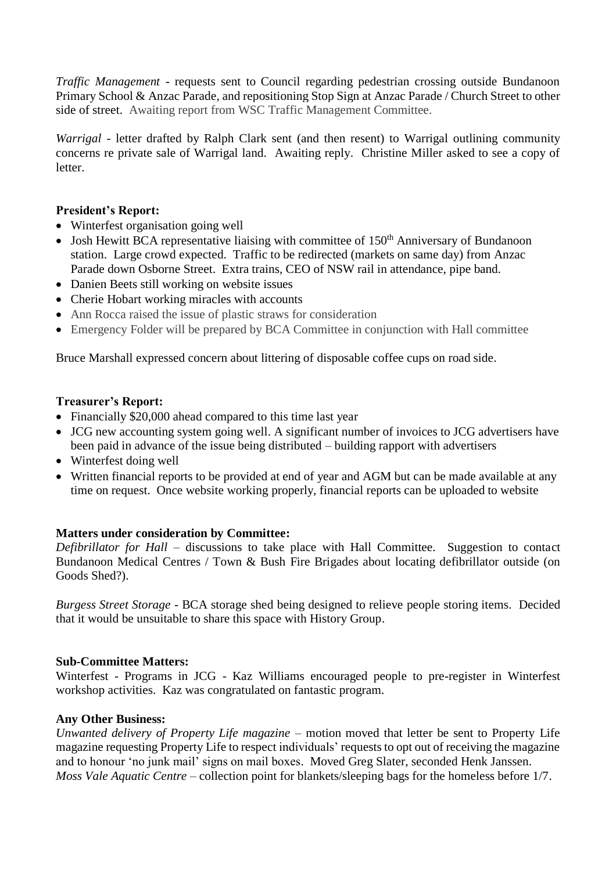*Traffic Management* - requests sent to Council regarding pedestrian crossing outside Bundanoon Primary School & Anzac Parade, and repositioning Stop Sign at Anzac Parade / Church Street to other side of street. Awaiting report from WSC Traffic Management Committee.

*Warrigal* - letter drafted by Ralph Clark sent (and then resent) to Warrigal outlining community concerns re private sale of Warrigal land. Awaiting reply. Christine Miller asked to see a copy of letter.

## **President's Report:**

- Winterfest organisation going well
- Josh Hewitt BCA representative liaising with committee of  $150<sup>th</sup>$  Anniversary of Bundanoon station. Large crowd expected. Traffic to be redirected (markets on same day) from Anzac Parade down Osborne Street. Extra trains, CEO of NSW rail in attendance, pipe band.
- Danien Beets still working on website issues
- Cherie Hobart working miracles with accounts
- Ann Rocca raised the issue of plastic straws for consideration
- Emergency Folder will be prepared by BCA Committee in conjunction with Hall committee

Bruce Marshall expressed concern about littering of disposable coffee cups on road side.

## **Treasurer's Report:**

- Financially \$20,000 ahead compared to this time last year
- JCG new accounting system going well. A significant number of invoices to JCG advertisers have been paid in advance of the issue being distributed – building rapport with advertisers
- Winterfest doing well
- Written financial reports to be provided at end of year and AGM but can be made available at any time on request. Once website working properly, financial reports can be uploaded to website

## **Matters under consideration by Committee:**

*Defibrillator for Hall* – discussions to take place with Hall Committee. Suggestion to contact Bundanoon Medical Centres / Town & Bush Fire Brigades about locating defibrillator outside (on Goods Shed?).

*Burgess Street Storage* - BCA storage shed being designed to relieve people storing items. Decided that it would be unsuitable to share this space with History Group.

### **Sub-Committee Matters:**

Winterfest - Programs in JCG - Kaz Williams encouraged people to pre-register in Winterfest workshop activities. Kaz was congratulated on fantastic program.

## **Any Other Business:**

*Unwanted delivery of Property Life magazine* – motion moved that letter be sent to Property Life magazine requesting Property Life to respect individuals' requests to opt out of receiving the magazine and to honour 'no junk mail' signs on mail boxes. Moved Greg Slater, seconded Henk Janssen. *Moss Vale Aquatic Centre* – collection point for blankets/sleeping bags for the homeless before 1/7.